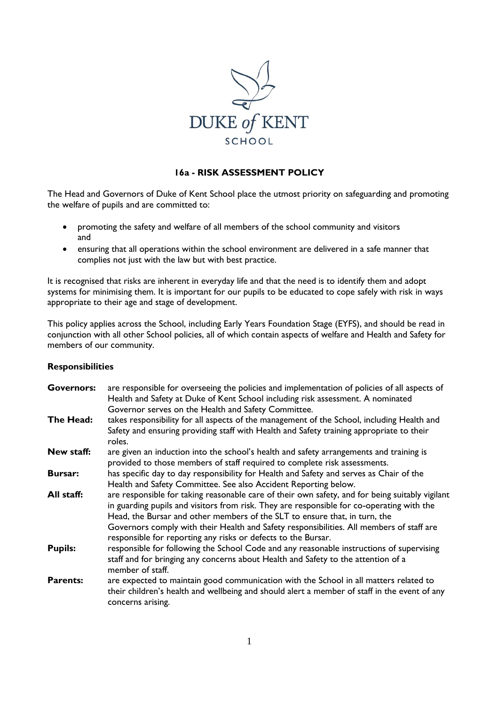

# **16a - RISK ASSESSMENT POLICY**

The Head and Governors of Duke of Kent School place the utmost priority on safeguarding and promoting the welfare of pupils and are committed to:

- promoting the safety and welfare of all members of the school community and visitors and
- ensuring that all operations within the school environment are delivered in a safe manner that complies not just with the law but with best practice.

It is recognised that risks are inherent in everyday life and that the need is to identify them and adopt systems for minimising them. It is important for our pupils to be educated to cope safely with risk in ways appropriate to their age and stage of development.

This policy applies across the School, including Early Years Foundation Stage (EYFS), and should be read in conjunction with all other School policies, all of which contain aspects of welfare and Health and Safety for members of our community.

### **Responsibilities**

| <b>Governors:</b> | are responsible for overseeing the policies and implementation of policies of all aspects of<br>Health and Safety at Duke of Kent School including risk assessment. A nominated<br>Governor serves on the Health and Safety Committee.                                                                                                                                                                                                  |  |  |  |  |
|-------------------|-----------------------------------------------------------------------------------------------------------------------------------------------------------------------------------------------------------------------------------------------------------------------------------------------------------------------------------------------------------------------------------------------------------------------------------------|--|--|--|--|
| The Head:         | takes responsibility for all aspects of the management of the School, including Health and<br>Safety and ensuring providing staff with Health and Safety training appropriate to their<br>roles.                                                                                                                                                                                                                                        |  |  |  |  |
| New staff:        | are given an induction into the school's health and safety arrangements and training is<br>provided to those members of staff required to complete risk assessments.                                                                                                                                                                                                                                                                    |  |  |  |  |
| <b>Bursar:</b>    | has specific day to day responsibility for Health and Safety and serves as Chair of the<br>Health and Safety Committee. See also Accident Reporting below.                                                                                                                                                                                                                                                                              |  |  |  |  |
| All staff:        | are responsible for taking reasonable care of their own safety, and for being suitably vigilant<br>in guarding pupils and visitors from risk. They are responsible for co-operating with the<br>Head, the Bursar and other members of the SLT to ensure that, in turn, the<br>Governors comply with their Health and Safety responsibilities. All members of staff are<br>responsible for reporting any risks or defects to the Bursar. |  |  |  |  |
| <b>Pupils:</b>    | responsible for following the School Code and any reasonable instructions of supervising<br>staff and for bringing any concerns about Health and Safety to the attention of a<br>member of staff.                                                                                                                                                                                                                                       |  |  |  |  |
| <b>Parents:</b>   | are expected to maintain good communication with the School in all matters related to<br>their children's health and wellbeing and should alert a member of staff in the event of any<br>concerns arising.                                                                                                                                                                                                                              |  |  |  |  |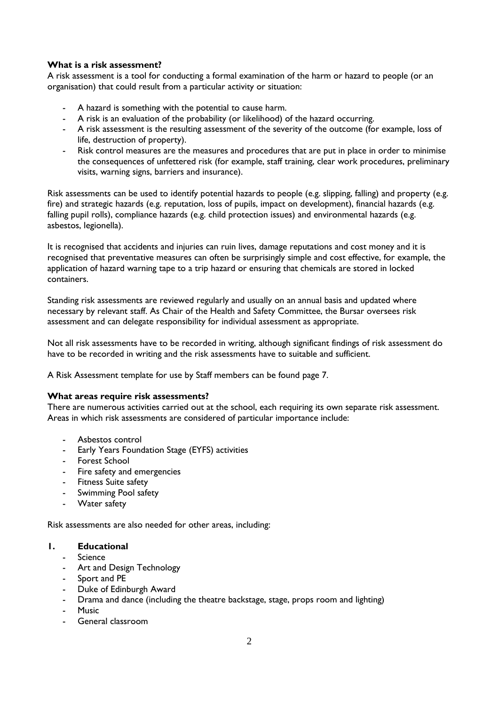# **What is a risk assessment?**

A risk assessment is a tool for conducting a formal examination of the harm or hazard to people (or an organisation) that could result from a particular activity or situation:

- A hazard is something with the potential to cause harm.
- A risk is an evaluation of the probability (or likelihood) of the hazard occurring.
- A risk assessment is the resulting assessment of the severity of the outcome (for example, loss of life, destruction of property).
- Risk control measures are the measures and procedures that are put in place in order to minimise the consequences of unfettered risk (for example, staff training, clear work procedures, preliminary visits, warning signs, barriers and insurance).

Risk assessments can be used to identify potential hazards to people (e.g. slipping, falling) and property (e.g. fire) and strategic hazards (e.g. reputation, loss of pupils, impact on development), financial hazards (e.g. falling pupil rolls), compliance hazards (e.g. child protection issues) and environmental hazards (e.g. asbestos, legionella).

It is recognised that accidents and injuries can ruin lives, damage reputations and cost money and it is recognised that preventative measures can often be surprisingly simple and cost effective, for example, the application of hazard warning tape to a trip hazard or ensuring that chemicals are stored in locked containers.

Standing risk assessments are reviewed regularly and usually on an annual basis and updated where necessary by relevant staff. As Chair of the Health and Safety Committee, the Bursar oversees risk assessment and can delegate responsibility for individual assessment as appropriate.

Not all risk assessments have to be recorded in writing, although significant findings of risk assessment do have to be recorded in writing and the risk assessments have to suitable and sufficient.

A Risk Assessment template for use by Staff members can be found page 7.

### **What areas require risk assessments?**

There are numerous activities carried out at the school, each requiring its own separate risk assessment. Areas in which risk assessments are considered of particular importance include:

- Asbestos control
- Early Years Foundation Stage (EYFS) activities
- Forest School
- Fire safety and emergencies
- Fitness Suite safety
- Swimming Pool safety
- Water safety

Risk assessments are also needed for other areas, including:

# **1. Educational**

- **Science**
- Art and Design Technology
- Sport and PE
- Duke of Edinburgh Award
- Drama and dance (including the theatre backstage, stage, props room and lighting)
- Music
- General classroom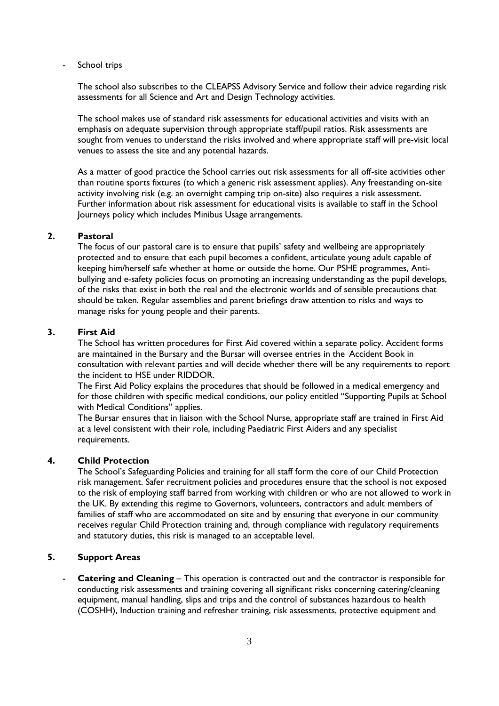School trips

The school also subscribes to the CLEAPSS Advisory Service and follow their advice regarding risk assessments for all Science and Art and Design Technology activities.

The school makes use of standard risk assessments for educational activities and visits with an emphasis on adequate supervision through appropriate staff/pupil ratios. Risk assessments are sought from venues to understand the risks involved and where appropriate staff will pre-visit local venues to assess the site and any potential hazards.

As a matter of good practice the School carries out risk assessments for all off-site activities other than routine sports fixtures (to which a generic risk assessment applies). Any freestanding on-site activity involving risk (e.g. an overnight camping trip on-site) also requires a risk assessment. Further information about risk assessment for educational visits is available to staff in the School Journeys policy which includes Minibus Usage arrangements.

### **2. Pastoral**

The focus of our pastoral care is to ensure that pupils' safety and wellbeing are appropriately protected and to ensure that each pupil becomes a confident, articulate young adult capable of keeping him/herself safe whether at home or outside the home. Our PSHE programmes, Antibullying and e-safety policies focus on promoting an increasing understanding as the pupil develops, of the risks that exist in both the real and the electronic worlds and of sensible precautions that should be taken. Regular assemblies and parent briefings draw attention to risks and ways to manage risks for young people and their parents.

### **3. First Aid**

The School has written procedures for First Aid covered within a separate policy. Accident forms are maintained in the Bursary and the Bursar will oversee entries in the Accident Book in consultation with relevant parties and will decide whether there will be any requirements to report the incident to HSE under RIDDOR.

The First Aid Policy explains the procedures that should be followed in a medical emergency and for those children with specific medical conditions, our policy entitled "Supporting Pupils at School with Medical Conditions" applies.

The Bursar ensures that in liaison with the School Nurse, appropriate staff are trained in First Aid at a level consistent with their role, including Paediatric First Aiders and any specialist requirements.

# **4. Child Protection**

The School's Safeguarding Policies and training for all staff form the core of our Child Protection risk management. Safer recruitment policies and procedures ensure that the school is not exposed to the risk of employing staff barred from working with children or who are not allowed to work in the UK. By extending this regime to Governors, volunteers, contractors and adult members of families of staff who are accommodated on site and by ensuring that everyone in our community receives regular Child Protection training and, through compliance with regulatory requirements and statutory duties, this risk is managed to an acceptable level.

# **5. Support Areas**

**Catering and Cleaning** – This operation is contracted out and the contractor is responsible for conducting risk assessments and training covering all significant risks concerning catering/cleaning equipment, manual handling, slips and trips and the control of substances hazardous to health (COSHH), Induction training and refresher training, risk assessments, protective equipment and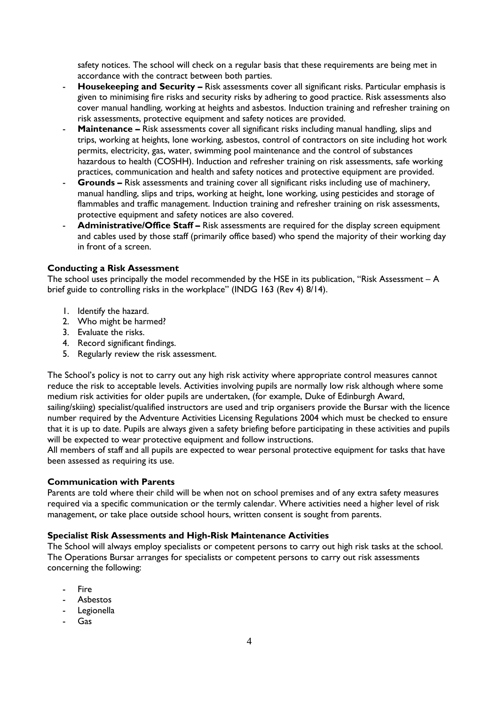safety notices. The school will check on a regular basis that these requirements are being met in accordance with the contract between both parties.

- **Housekeeping and Security –** Risk assessments cover all significant risks. Particular emphasis is given to minimising fire risks and security risks by adhering to good practice. Risk assessments also cover manual handling, working at heights and asbestos. Induction training and refresher training on risk assessments, protective equipment and safety notices are provided.
- **Maintenance –** Risk assessments cover all significant risks including manual handling, slips and trips, working at heights, lone working, asbestos, control of contractors on site including hot work permits, electricity, gas, water, swimming pool maintenance and the control of substances hazardous to health (COSHH). Induction and refresher training on risk assessments, safe working practices, communication and health and safety notices and protective equipment are provided.
- Grounds Risk assessments and training cover all significant risks including use of machinery, manual handling, slips and trips, working at height, lone working, using pesticides and storage of flammables and traffic management. Induction training and refresher training on risk assessments, protective equipment and safety notices are also covered.
- **Administrative/Office Staff –** Risk assessments are required for the display screen equipment and cables used by those staff (primarily office based) who spend the majority of their working day in front of a screen.

### **Conducting a Risk Assessment**

The school uses principally the model recommended by the HSE in its publication, "Risk Assessment – A brief guide to controlling risks in the workplace" (INDG 163 (Rev 4) 8/14).

- 1. Identify the hazard.
- 2. Who might be harmed?
- 3. Evaluate the risks.
- 4. Record significant findings.
- 5. Regularly review the risk assessment.

The School's policy is not to carry out any high risk activity where appropriate control measures cannot reduce the risk to acceptable levels. Activities involving pupils are normally low risk although where some medium risk activities for older pupils are undertaken, (for example, Duke of Edinburgh Award, sailing/skiing) specialist/qualified instructors are used and trip organisers provide the Bursar with the licence number required by the Adventure Activities Licensing Regulations 2004 which must be checked to ensure that it is up to date. Pupils are always given a safety briefing before participating in these activities and pupils will be expected to wear protective equipment and follow instructions.

All members of staff and all pupils are expected to wear personal protective equipment for tasks that have been assessed as requiring its use.

#### **Communication with Parents**

Parents are told where their child will be when not on school premises and of any extra safety measures required via a specific communication or the termly calendar. Where activities need a higher level of risk management, or take place outside school hours, written consent is sought from parents.

# **Specialist Risk Assessments and High-Risk Maintenance Activities**

The School will always employ specialists or competent persons to carry out high risk tasks at the school. The Operations Bursar arranges for specialists or competent persons to carry out risk assessments concerning the following:

- **Fire**
- Asbestos
- Legionella
- Gas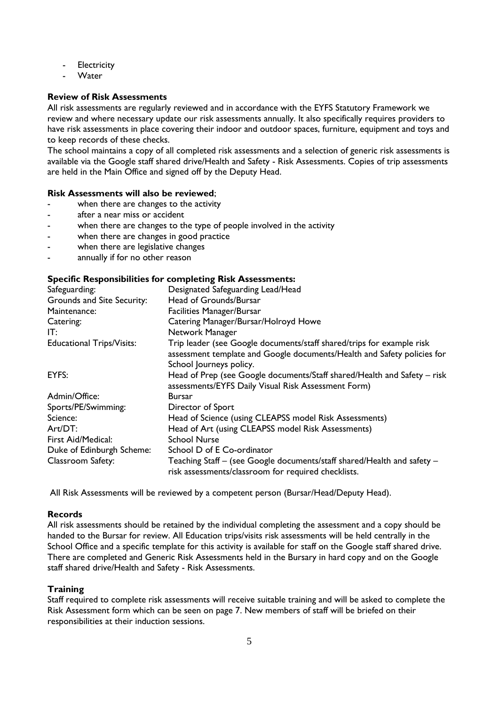- Electricity
- **Water**

### **Review of Risk Assessments**

All risk assessments are regularly reviewed and in accordance with the EYFS Statutory Framework we review and where necessary update our risk assessments annually. It also specifically requires providers to have risk assessments in place covering their indoor and outdoor spaces, furniture, equipment and toys and to keep records of these checks.

The school maintains a copy of all completed risk assessments and a selection of generic risk assessments is available via the Google staff shared drive/Health and Safety - Risk Assessments. Copies of trip assessments are held in the Main Office and signed off by the Deputy Head.

#### **Risk Assessments will also be reviewed**;

- when there are changes to the activity
- after a near miss or accident
- when there are changes to the type of people involved in the activity
- when there are changes in good practice
- when there are legislative changes
- annually if for no other reason

### **Specific Responsibilities for completing Risk Assessments:**

| Safeguarding:                    | Designated Safeguarding Lead/Head                                                                                                                |
|----------------------------------|--------------------------------------------------------------------------------------------------------------------------------------------------|
| Grounds and Site Security:       | Head of Grounds/Bursar                                                                                                                           |
| Maintenance:                     | <b>Facilities Manager/Bursar</b>                                                                                                                 |
| Catering:                        | Catering Manager/Bursar/Holroyd Howe                                                                                                             |
| IT:                              | Network Manager                                                                                                                                  |
| <b>Educational Trips/Visits:</b> | Trip leader (see Google documents/staff shared/trips for example risk<br>assessment template and Google documents/Health and Safety policies for |
|                                  | School Journeys policy.                                                                                                                          |
| EYFS:                            | Head of Prep (see Google documents/Staff shared/Health and Safety – risk<br>assessments/EYFS Daily Visual Risk Assessment Form)                  |
| Admin/Office:                    | <b>Bursar</b>                                                                                                                                    |
| Sports/PE/Swimming:              | Director of Sport                                                                                                                                |
| Science:                         | Head of Science (using CLEAPSS model Risk Assessments)                                                                                           |
| Art/DT:                          | Head of Art (using CLEAPSS model Risk Assessments)                                                                                               |
| First Aid/Medical:               | <b>School Nurse</b>                                                                                                                              |
| Duke of Edinburgh Scheme:        | School D of E Co-ordinator                                                                                                                       |
| Classroom Safety:                | Teaching Staff – (see Google documents/staff shared/Health and safety –<br>risk assessments/classroom for required checklists.                   |

All Risk Assessments will be reviewed by a competent person (Bursar/Head/Deputy Head).

### **Records**

All risk assessments should be retained by the individual completing the assessment and a copy should be handed to the Bursar for review. All Education trips/visits risk assessments will be held centrally in the School Office and a specific template for this activity is available for staff on the Google staff shared drive. There are completed and Generic Risk Assessments held in the Bursary in hard copy and on the Google staff shared drive/Health and Safety - Risk Assessments.

#### **Training**

Staff required to complete risk assessments will receive suitable training and will be asked to complete the Risk Assessment form which can be seen on page 7. New members of staff will be briefed on their responsibilities at their induction sessions.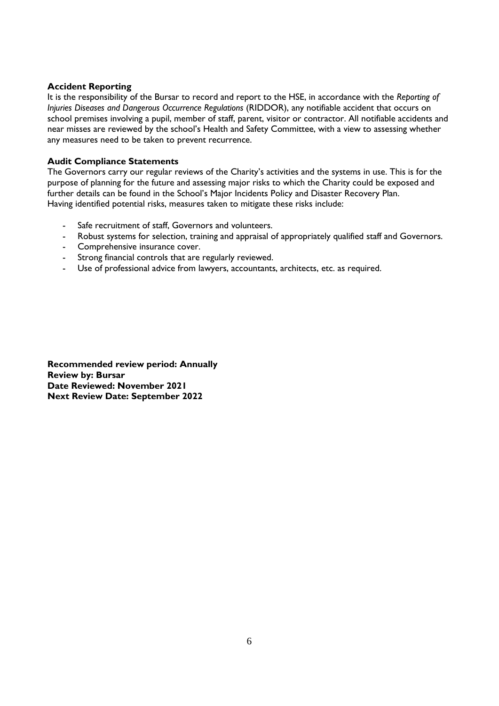### **Accident Reporting**

It is the responsibility of the Bursar to record and report to the HSE, in accordance with the *Reporting of Injuries Diseases and Dangerous Occurrence Regulations* (RIDDOR), any notifiable accident that occurs on school premises involving a pupil, member of staff, parent, visitor or contractor. All notifiable accidents and near misses are reviewed by the school's Health and Safety Committee, with a view to assessing whether any measures need to be taken to prevent recurrence.

# **Audit Compliance Statements**

The Governors carry our regular reviews of the Charity's activities and the systems in use. This is for the purpose of planning for the future and assessing major risks to which the Charity could be exposed and further details can be found in the School's Major Incidents Policy and Disaster Recovery Plan. Having identified potential risks, measures taken to mitigate these risks include:

- Safe recruitment of staff, Governors and volunteers.
- Robust systems for selection, training and appraisal of appropriately qualified staff and Governors.
- Comprehensive insurance cover.
- Strong financial controls that are regularly reviewed.
- Use of professional advice from lawyers, accountants, architects, etc. as required.

**Recommended review period: Annually Review by: Bursar Date Reviewed: November 2021 Next Review Date: September 2022**